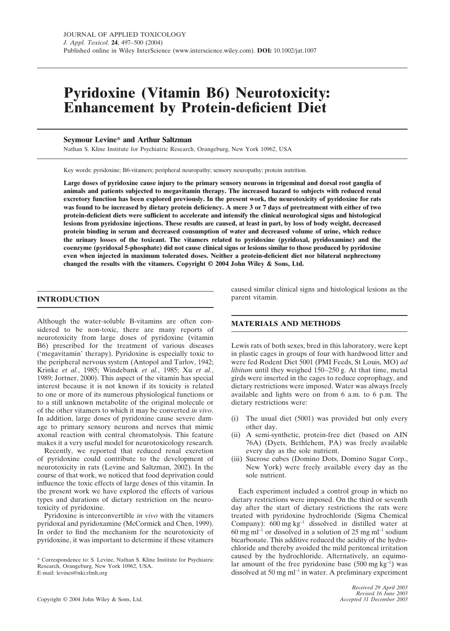# **Pyridoxine (Vitamin B6) Neurotoxicity: Enhancement by Protein-deficient Diet**

# **Seymour Levine\* and Arthur Saltzman**

Nathan S. Kline Institute for Psychiatric Research, Orangeburg, New York 10962, USA

Key words: pyridoxine; B6-vitamers; peripheral neuropathy; sensory neuropathy; protein nutrition.

**Large doses of pyridoxine cause injury to the primary sensory neurons in trigeminal and dorsal root ganglia of animals and patients subjected to megavitamin therapy. The increased hazard to subjects with reduced renal excretory function has been explored previously. In the present work, the neurotoxicity of pyridoxine for rats was found to be increased by dietary protein deficiency. A mere 3 or 7 days of pretreatment with either of two protein-deficient diets were sufficient to accelerate and intensify the clinical neurological signs and histological lesions from pyridoxine injections. These results are caused, at least in part, by loss of body weight, decreased protein binding in serum and decreased consumption of water and decreased volume of urine, which reduce the urinary losses of the toxicant. The vitamers related to pyridoxine (pyridoxal, pyridoxamine) and the coenzyme (pyridoxal 5-phosphate) did not cause clinical signs or lesions similar to those produced by pyridoxine even when injected in maximum tolerated doses. Neither a protein-deficient diet nor bilateral nephrectomy changed the results with the vitamers. Copyright © 2004 John Wiley & Sons, Ltd.**

# **INTRODUCTION**

Although the water-soluble B-vitamins are often considered to be non-toxic, there are many reports of neurotoxicity from large doses of pyridoxine (vitamin B6) prescribed for the treatment of various diseases ('megavitamin' therapy). Pyridoxine is especially toxic to the peripheral nervous system (Antopol and Tarlov, 1942; Krinke *et al.*, 1985; Windebank *et al.*, 1985; Xu *et al.*, 1989; Jortner, 2000). This aspect of the vitamin has special interest because it is not known if its toxicity is related to one or more of its numerous physiological functions or to a still unknown metabolite of the original molecule or of the other vitamers to which it may be converted *in vivo*. In addition, large doses of pyridoxine cause severe damage to primary sensory neurons and nerves that mimic axonal reaction with central chromatolysis. This feature makes it a very useful model for neurotoxicology research.

Recently, we reported that reduced renal excretion of pyridoxine could contribute to the development of neurotoxicity in rats (Levine and Saltzman, 2002). In the course of that work, we noticed that food deprivation could influence the toxic effects of large doses of this vitamin. In the present work we have explored the effects of various types and durations of dietary restriction on the neurotoxicity of pyridoxine.

Pyridoxine is interconvertible *in vivo* with the vitamers pyridoxal and pyridoxamine (McCormick and Chen, 1999). In order to find the mechanism for the neurotoxicity of pyridoxine, it was important to determine if these vitamers

\* Correspondence to: S. Levine, Nathan S. Kline Institute for Psychiatric Research, Orangeburg, New York 10962, USA. E-mail: levines@nki.rfmh.org

caused similar clinical signs and histological lesions as the parent vitamin.

# **MATERIALS AND METHODS**

Lewis rats of both sexes, bred in this laboratory, were kept in plastic cages in groups of four with hardwood litter and were fed Rodent Diet 5001 (PMI Feeds, St Louis, MO) *ad libitum* until they weighed 150–250 g. At that time, metal girds were inserted in the cages to reduce coprophagy, and dietary restrictions were imposed. Water was always freely available and lights were on from 6 a.m. to 6 p.m. The dietary restrictions were:

- (i) The usual diet (5001) was provided but only every other day.
- (ii) A semi-synthetic, protein-free diet (based on AIN 76A) (Dyets, Bethlehem, PA) was freely available every day as the sole nutrient.
- (iii) Sucrose cubes (Domino Dots, Domino Sugar Corp., New York) were freely available every day as the sole nutrient.

Each experiment included a control group in which no dietary restrictions were imposed. On the third or seventh day after the start of dietary restrictions the rats were treated with pyridoxine hydrochloride (Sigma Chemical Company): 600 mg kg<sup>−</sup><sup>1</sup> dissolved in distilled water at 60 mg ml<sup>-1</sup> or dissolved in a solution of 25 mg ml<sup>-1</sup> sodium bicarbonate. This additive reduced the acidity of the hydrochloride and thereby avoided the mild peritoneal irritation caused by the hydrochloride. Alternatively, an equimolar amount of the free pyridoxine base (500 mg kg<sup>-1</sup>) was dissolved at 50 mg ml<sup>−</sup><sup>1</sup> in water. A preliminary experiment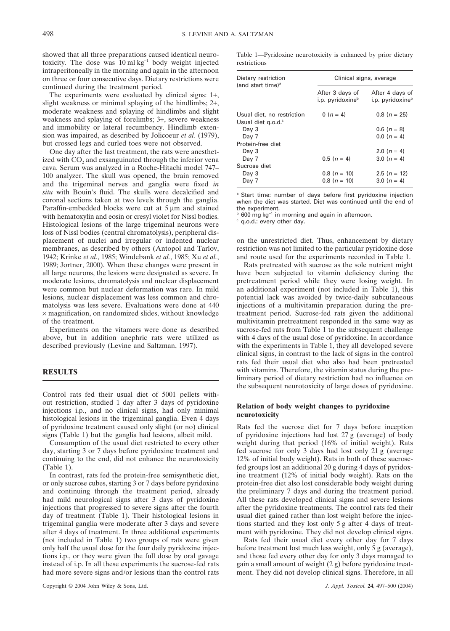showed that all three preparations caused identical neurotoxicity. The dose was 10 ml kg<sup>−</sup><sup>1</sup> body weight injected intraperitoneally in the morning and again in the afternoon on three or four consecutive days. Dietary restrictions were continued during the treatment period.

The experiments were evaluated by clinical signs: 1+, slight weakness or minimal splaying of the hindlimbs; 2+, moderate weakness and splaying of hindlimbs and slight weakness and splaying of forelimbs; 3+, severe weakness and immobility or lateral recumbency. Hindlimb extension was impaired, as described by Jolicoeur *et al.* (1979), but crossed legs and curled toes were not observed.

One day after the last treatment, the rats were anesthetized with CO<sub>2</sub> and exsanguinated through the inferior vena cava. Serum was analyzed in a Roche-Hitachi model 747– 100 analyzer. The skull was opened, the brain removed and the trigeminal nerves and ganglia were fixed *in situ* with Bouin's fluid. The skulls were decalcified and coronal sections taken at two levels through the ganglia. Paraffin-embedded blocks were cut at 5 µm and stained with hematoxylin and eosin or cresyl violet for Nissl bodies. Histological lesions of the large trigeminal neurons were loss of Nissl bodies (central chromatolysis), peripheral displacement of nuclei and irregular or indented nuclear membranes, as described by others (Antopol and Tarlov, 1942; Krinke *et al.*, 1985; Windebank *et al.*, 1985; Xu *et al.*, 1989; Jortner, 2000). When these changes were present in all large neurons, the lesions were designated as severe. In moderate lesions, chromatolysis and nuclear displacement were common but nuclear deformation was rare. In mild lesions, nuclear displacement was less common and chromatolysis was less severe. Evaluations were done at 440  $\times$  magnification, on randomized slides, without knowledge of the treatment.

Experiments on the vitamers were done as described above, but in addition anephric rats were utilized as described previously (Levine and Saltzman, 1997).

#### **RESULTS**

Control rats fed their usual diet of 5001 pellets without restriction, studied 1 day after 3 days of pyridoxine injections i.p., and no clinical signs, had only minimal histological lesions in the trigeminal ganglia. Even 4 days of pyridoxine treatment caused only slight (or no) clinical signs (Table 1) but the ganglia had lesions, albeit mild.

Consumption of the usual diet restricted to every other day, starting 3 or 7 days before pyridoxine treatment and continuing to the end, did not enhance the neurotoxicity (Table 1).

In contrast, rats fed the protein-free semisynthetic diet, or only sucrose cubes, starting 3 or 7 days before pyridoxine and continuing through the treatment period, already had mild neurological signs after 3 days of pyridoxine injections that progressed to severe signs after the fourth day of treatment (Table 1). Their histological lesions in trigeminal ganglia were moderate after 3 days and severe after 4 days of treatment. In three additional experiments (not included in Table 1) two groups of rats were given only half the usual dose for the four daily pyridoxine injections i.p., or they were given the full dose by oral gavage instead of i.p. In all these experiments the sucrose-fed rats had more severe signs and/or lesions than the control rats

Table 1—Pyridoxine neurotoxicity is enhanced by prior dietary restrictions

| Dietary restriction<br>(and start time) <sup>a</sup> | Clinical signs, average                         |                                                 |  |
|------------------------------------------------------|-------------------------------------------------|-------------------------------------------------|--|
|                                                      | After 3 days of<br>i.p. pyridoxine <sup>b</sup> | After 4 days of<br>i.p. pyridoxine <sup>b</sup> |  |
| Usual diet, no restriction                           | 0 ( $n = 4$ )                                   | $0.8(n = 25)$                                   |  |
| Usual diet g.o.d. <sup>c</sup>                       |                                                 |                                                 |  |
| Day 3                                                |                                                 | 0.6 $(n = 8)$                                   |  |
| Day 7                                                |                                                 | 0.0 $(n = 4)$                                   |  |
| Protein-free diet                                    |                                                 |                                                 |  |
| Day 3                                                |                                                 | 2.0 $(n = 4)$                                   |  |
| Day 7                                                | $0.5(n=4)$                                      | 3.0 $(n = 4)$                                   |  |
| Sucrose diet                                         |                                                 |                                                 |  |
| Day 3                                                | $0.8(n = 10)$                                   | 2.5 $(n = 12)$                                  |  |
| Day 7                                                | $0.8(n = 10)$                                   | 3.0 $(n = 4)$                                   |  |

<sup>a</sup> Start time: number of days before first pyridoxine injection when the diet was started. Diet was continued until the end of the experiment.

<sup>b</sup> 600 mg kg<sup>-1</sup> in morning and again in afternoon.

 $\degree$  q.o.d.: every other day.

on the unrestricted diet. Thus, enhancement by dietary restriction was not limited to the particular pyridoxine dose and route used for the experiments recorded in Table 1.

Rats pretreated with sucrose as the sole nutrient might have been subjected to vitamin deficiency during the pretreatment period while they were losing weight. In an additional experiment (not included in Table 1), this potential lack was avoided by twice-daily subcutaneous injections of a multivitamin preparation during the pretreatment period. Sucrose-fed rats given the additional multivitamin pretreatment responded in the same way as sucrose-fed rats from Table 1 to the subsequent challenge with 4 days of the usual dose of pyridoxine. In accordance with the experiments in Table 1, they all developed severe clinical signs, in contrast to the lack of signs in the control rats fed their usual diet who also had been pretreated with vitamins. Therefore, the vitamin status during the preliminary period of dietary restriction had no influence on the subsequent neurotoxicity of large doses of pyridoxine.

### **Relation of body weight changes to pyridoxine neurotoxicity**

Rats fed the sucrose diet for 7 days before inception of pyridoxine injections had lost 27 g (average) of body weight during that period (16% of initial weight). Rats fed sucrose for only 3 days had lost only 21 g (average 12% of initial body weight). Rats in both of these sucrosefed groups lost an additional 20 g during 4 days of pyridoxine treatment (12% of initial body weight). Rats on the protein-free diet also lost considerable body weight during the preliminary 7 days and during the treatment period. All these rats developed clinical signs and severe lesions after the pyridoxine treatments. The control rats fed their usual diet gained rather than lost weight before the injections started and they lost only 5 g after 4 days of treatment with pyridoxine. They did not develop clinical signs.

Rats fed their usual diet every other day for 7 days before treatment lost much less weight, only 5 g (average), and those fed every other day for only 3 days managed to gain a small amount of weight (2 g) before pyridoxine treatment. They did not develop clinical signs. Therefore, in all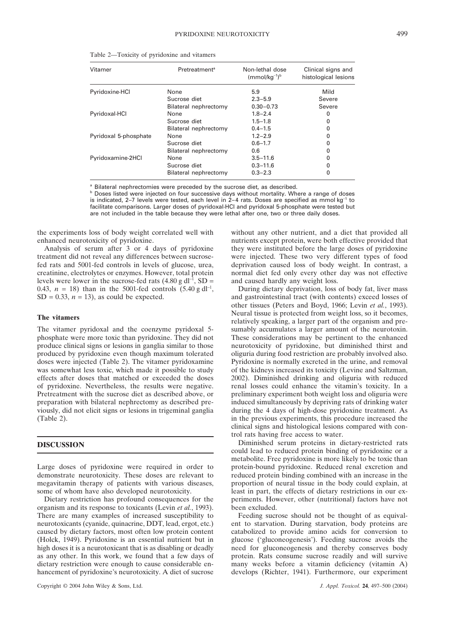| Vitamer                     | Pretreatment <sup>a</sup> | Non-lethal dose<br>$(mmol/kg-1)b$ | Clinical signs and<br>histological lesions |
|-----------------------------|---------------------------|-----------------------------------|--------------------------------------------|
| Pyridoxine <sub>·</sub> HCl | None                      | 5.9                               | Mild                                       |
|                             | Sucrose diet              | $2.3 - 5.9$                       | Severe                                     |
|                             | Bilateral nephrectomy     | $0.30 - 0.73$                     | Severe                                     |
| Pyridoxal·HCl               | None                      | $1.8 - 2.4$                       | 0                                          |
|                             | Sucrose diet              | $1.5 - 1.8$                       |                                            |
|                             | Bilateral nephrectomy     | $0.4 - 1.5$                       |                                            |
| Pyridoxal 5-phosphate       | None                      | $1.2 - 2.9$                       | 0                                          |
|                             | Sucrose diet              | $0.6 - 1.7$                       |                                            |
|                             | Bilateral nephrectomy     | 0.6                               |                                            |
| Pyridoxamine-2HCl           | None                      | $3.5 - 11.6$                      |                                            |
|                             | Sucrose diet              | $0.3 - 11.6$                      |                                            |
|                             | Bilateral nephrectomy     | $0.3 - 2.3$                       | 0                                          |
|                             |                           |                                   |                                            |

Table 2—Toxicity of pyridoxine and vitamers

<sup>a</sup> Bilateral nephrectomies were preceded by the sucrose diet, as described.

**b** Doses listed were injected on four successive days without mortality. Where a range of doses is indicated, 2–7 levels were tested, each level in 2–4 rats. Doses are specified as mmol kg<sup>−</sup><sup>1</sup> to facilitate comparisons. Larger doses of pyridoxal·HCl and pyridoxal 5-phosphate were tested but are not included in the table because they were lethal after one, two or three daily doses.

the experiments loss of body weight correlated well with enhanced neurotoxicity of pyridoxine.

Analysis of serum after 3 or 4 days of pyridoxine treatment did not reveal any differences between sucrosefed rats and 5001-fed controls in levels of glucose, urea, creatinine, electrolytes or enzymes. However, total protein levels were lower in the sucrose-fed rats  $(4.80 \text{ g d}^{-1}, SD =$ 0.43,  $n = 18$ ) than in the 5001-fed controls  $(5.40 \text{ g d}^{-1})$ ,  $SD = 0.33$ ,  $n = 13$ ), as could be expected.

#### **The vitamers**

The vitamer pyridoxal and the coenzyme pyridoxal 5 phosphate were more toxic than pyridoxine. They did not produce clinical signs or lesions in ganglia similar to those produced by pyridoxine even though maximum tolerated doses were injected (Table 2). The vitamer pyridoxamine was somewhat less toxic, which made it possible to study effects after doses that matched or exceeded the doses of pyridoxine. Nevertheless, the results were negative. Pretreatment with the sucrose diet as described above, or preparation with bilateral nephrectomy as described previously, did not elicit signs or lesions in trigeminal ganglia (Table 2).

# **DISCUSSION**

Large doses of pyridoxine were required in order to demonstrate neurotoxicity. These doses are relevant to megavitamin therapy of patients with various diseases, some of whom have also developed neurotoxicity.

Dietary restriction has profound consequences for the organism and its response to toxicants (Levin *et al.*, 1993). There are many examples of increased susceptibility to neurotoxicants (cyanide, quinacrine, DDT, lead, ergot, etc.) caused by dietary factors, most often low protein content (Holck, 1949). Pyridoxine is an essential nutrient but in high doses it is a neurotoxicant that is as disabling or deadly as any other. In this work, we found that a few days of dietary restriction were enough to cause considerable enhancement of pyridoxine's neurotoxicity. A diet of sucrose

without any other nutrient, and a diet that provided all nutrients except protein, were both effective provided that they were instituted before the large doses of pyridoxine were injected. These two very different types of food deprivation caused loss of body weight. In contrast, a normal diet fed only every other day was not effective and caused hardly any weight loss.

During dietary deprivation, loss of body fat, liver mass and gastrointestinal tract (with contents) exceed losses of other tissues (Peters and Boyd, 1966; Levin *et al.*, 1993). Neural tissue is protected from weight loss, so it becomes, relatively speaking, a larger part of the organism and presumably accumulates a larger amount of the neurotoxin. These considerations may be pertinent to the enhanced neurotoxicity of pyridoxine, but diminished thirst and oliguria during food restriction are probably involved also. Pyridoxine is normally excreted in the urine, and removal of the kidneys increased its toxicity (Levine and Saltzman, 2002). Diminished drinking and oliguria with reduced renal losses could enhance the vitamin's toxicity. In a preliminary experiment both weight loss and oliguria were induced simultaneously by depriving rats of drinking water during the 4 days of high-dose pyridoxine treatment. As in the previous experiments, this procedure increased the clinical signs and histological lesions compared with control rats having free access to water.

Diminished serum proteins in dietary-restricted rats could lead to reduced protein binding of pyridoxine or a metabolite. Free pyridoxine is more likely to be toxic than protein-bound pyridoxine. Reduced renal excretion and reduced protein binding combined with an increase in the proportion of neural tissue in the body could explain, at least in part, the effects of dietary restrictions in our experiments. However, other (nutritional) factors have not been excluded.

Feeding sucrose should not be thought of as equivalent to starvation. During starvation, body proteins are catabolized to provide amino acids for conversion to glucose ('gluconeogenesis'). Feeding sucrose avoids the need for gluconeogenesis and thereby conserves body protein. Rats consume sucrose readily and will survive many weeks before a vitamin deficiency (vitamin A) develops (Richter, 1941). Furthermore, our experiment